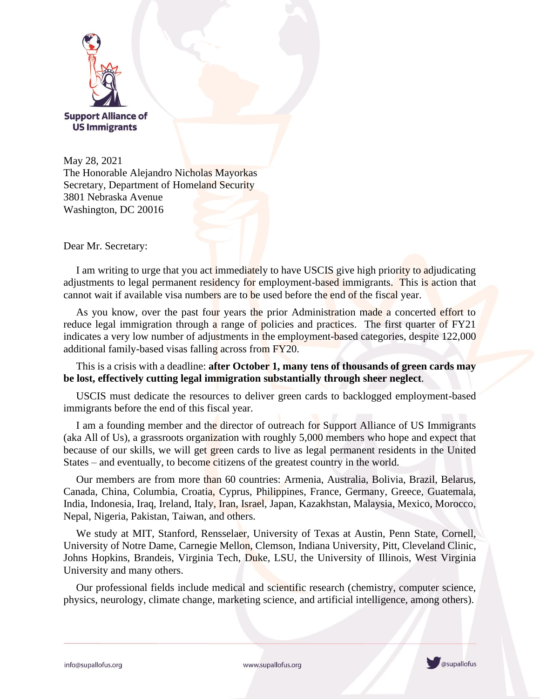

May 28, 2021 The Honorable Alejandro Nicholas Mayorkas Secretary, Department of Homeland Security 3801 Nebraska Avenue Washington, DC 20016

Dear Mr. Secretary:

I am writing to urge that you act immediately to have USCIS give high priority to adjudicating adjustments to legal permanent residency for employment-based immigrants. This is action that cannot wait if available visa numbers are to be used before the end of the fiscal year.

As you know, over the past four years the prior Administration made a concerted effort to reduce legal immigration through a range of policies and practices. The first quarter of FY21 indicates a very low number of adjustments in the employment-based categories, despite 122,000 additional family-based visas falling across from FY20.

This is a crisis with a deadline: **after October 1, many tens of thousands of green cards may be lost, effectively cutting legal immigration substantially through sheer neglect**.

USCIS must dedicate the resources to deliver green cards to backlogged employment-based immigrants before the end of this fiscal year.

I am a founding member and the director of outreach for Support Alliance of US Immigrants (aka All of Us), a grassroots organization with roughly 5,000 members who hope and expect that because of our skills, we will get green cards to live as legal permanent residents in the United States – and eventually, to become citizens of the greatest country in the world.

Our members are from more than 60 countries: Armenia, Australia, Bolivia, Brazil, Belarus, Canada, China, Columbia, Croatia, Cyprus, Philippines, France, Germany, Greece, Guatemala, India, Indonesia, Iraq, Ireland, Italy, Iran, Israel, Japan, Kazakhstan, Malaysia, Mexico, Morocco, Nepal, Nigeria, Pakistan, Taiwan, and others.

We study at MIT, Stanford, Rensselaer, University of Texas at Austin, Penn State, Cornell, University of Notre Dame, Carnegie Mellon, Clemson, Indiana University, Pitt, Cleveland Clinic, Johns Hopkins, Brandeis, Virginia Tech, Duke, LSU, the University of Illinois, West Virginia University and many others.

Our professional fields include medical and scientific research (chemistry, computer science, physics, neurology, climate change, marketing science, and artificial intelligence, among others).